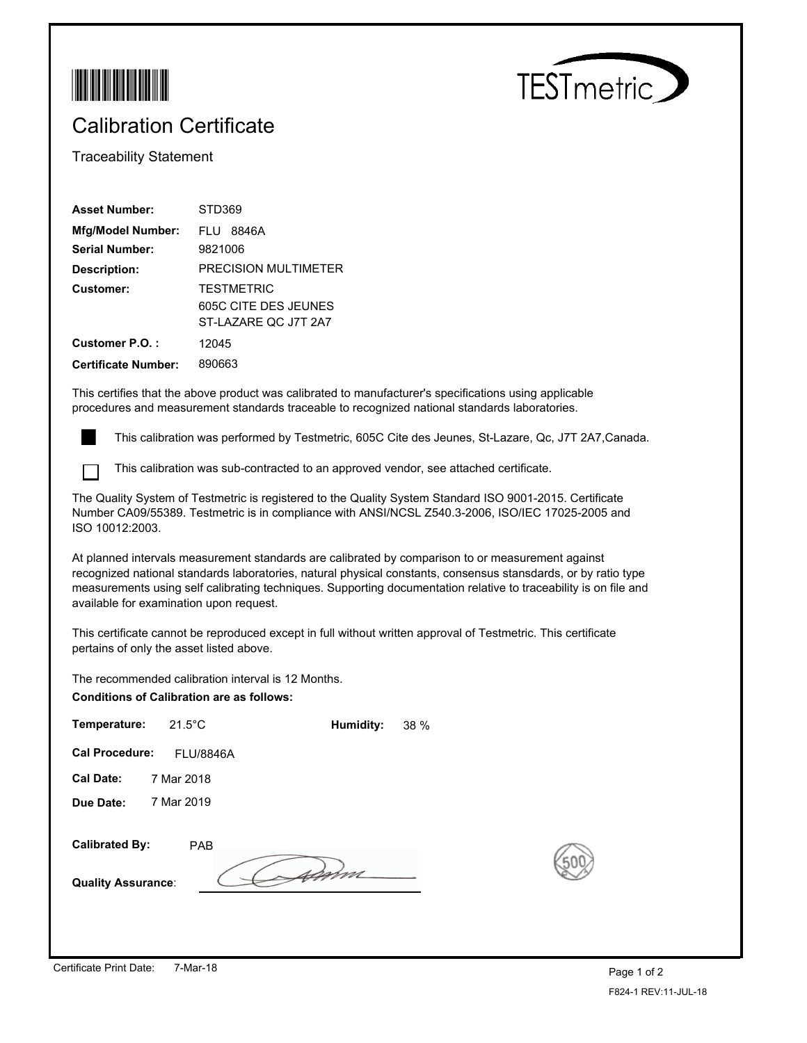



## Calibration Certificate

Traceability Statement

| <b>Asset Number:</b>       | STD369                                       |
|----------------------------|----------------------------------------------|
| <b>Mfg/Model Number:</b>   | FIU 8846A                                    |
| Serial Number:             | 9821006                                      |
| Description:               | PRECISION MULTIMETER                         |
| Customer:                  | <b>TESTMETRIC</b>                            |
|                            | 605C CITE DES JEUNES<br>ST-LAZARE QC J7T 2A7 |
| Customer P.O.:             | 12045                                        |
| <b>Certificate Number:</b> | 890663                                       |

This certifies that the above product was calibrated to manufacturer's specifications using applicable procedures and measurement standards traceable to recognized national standards laboratories.

This calibration was performed by Testmetric, 605C Cite des Jeunes, St-Lazare, Qc, J7T 2A7,Canada.

This calibration was sub-contracted to an approved vendor, see attached certificate.

The Quality System of Testmetric is registered to the Quality System Standard ISO 9001-2015. Certificate Number CA09/55389. Testmetric is in compliance with ANSI/NCSL Z540.3-2006, ISO/IEC 17025-2005 and ISO 10012:2003.

At planned intervals measurement standards are calibrated by comparison to or measurement against recognized national standards laboratories, natural physical constants, consensus stansdards, or by ratio type measurements using self calibrating techniques. Supporting documentation relative to traceability is on file and available for examination upon request.

This certificate cannot be reproduced except in full without written approval of Testmetric. This certificate pertains of only the asset listed above.

The recommended calibration interval is 12 Months.

**Conditions of Calibration are as follows:**

| Temperature:                                       | $21.5^{\circ}$ C | Humidity: | 38 % |    |
|----------------------------------------------------|------------------|-----------|------|----|
| <b>Cal Procedure:</b>                              | <b>FLU/8846A</b> |           |      |    |
| <b>Cal Date:</b>                                   | 7 Mar 2018       |           |      |    |
| Due Date:                                          | 7 Mar 2019       |           |      |    |
| <b>Calibrated By:</b><br><b>Quality Assurance:</b> | <b>PAB</b>       |           |      | ŗ, |